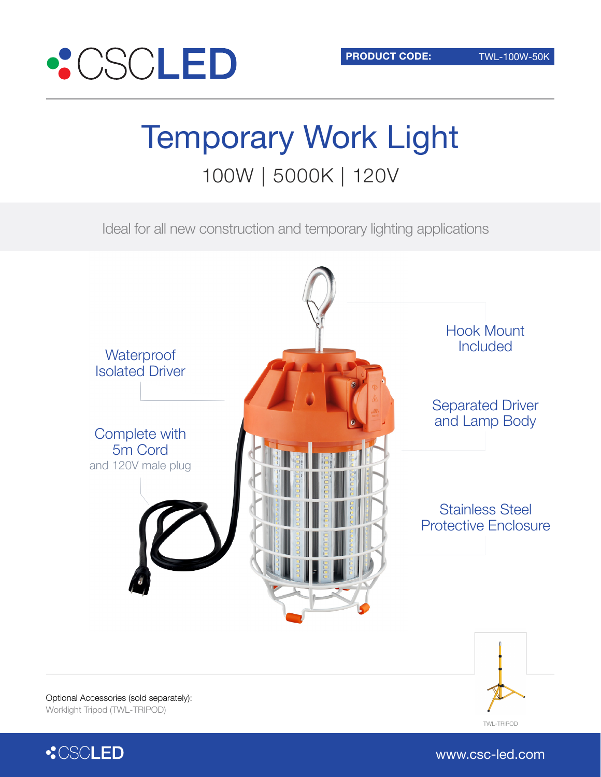www.csc-led.com



# Temporary Work Light 100W | 5000K | 120V

Ideal for all new construction and temporary lighting applications